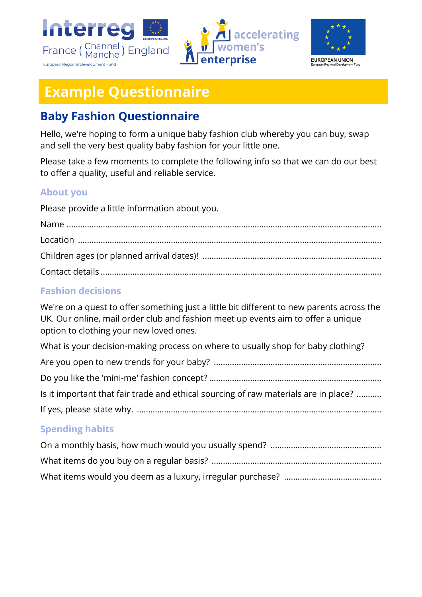





# **Example Questionnaire**

# **Baby Fashion Questionnaire**

Hello, we're hoping to form a unique baby fashion club whereby you can buy, swap and sell the very best quality baby fashion for your little one.

Please take a few moments to complete the following info so that we can do our best to offer a quality, useful and reliable service.

#### **About you**

Please provide a little information about you.

## **Fashion decisions**

We're on a quest to offer something just a little bit different to new parents across the UK. Our online, mail order club and fashion meet up events aim to offer a unique option to clothing your new loved ones.

What is your decision-making process on where to usually shop for baby clothing?

| Is it important that fair trade and ethical sourcing of raw materials are in place? |
|-------------------------------------------------------------------------------------|
|                                                                                     |

## **Spending habits**